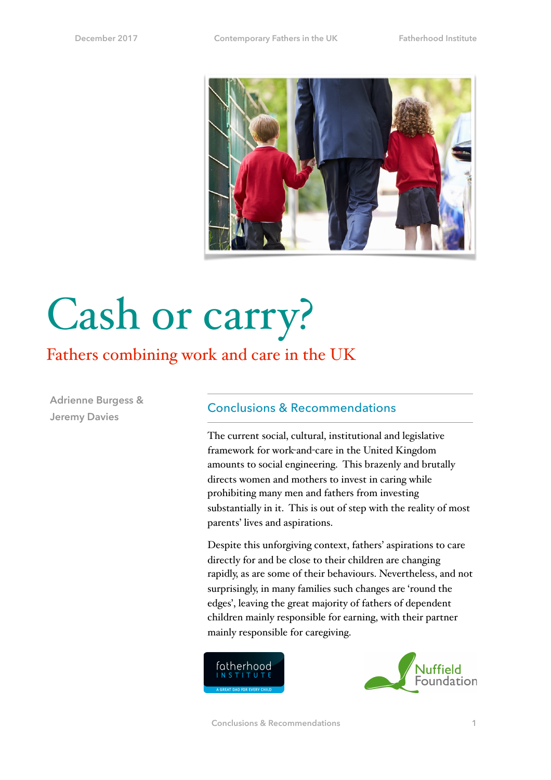

# Cash or carry?

## Fathers combining work and care in the UK

**Adrienne Burgess & Jeremy Davies**

#### Conclusions & Recommendations

The current social, cultural, institutional and legislative framework for work-and-care in the United Kingdom amounts to social engineering. This brazenly and brutally directs women and mothers to invest in caring while prohibiting many men and fathers from investing substantially in it. This is out of step with the reality of most parents' lives and aspirations.

Despite this unforgiving context, fathers' aspirations to care directly for and be close to their children are changing rapidly, as are some of their behaviours. Nevertheless, and not surprisingly, in many families such changes are 'round the edges', leaving the great majority of fathers of dependent children mainly responsible for earning, with their partner mainly responsible for caregiving.



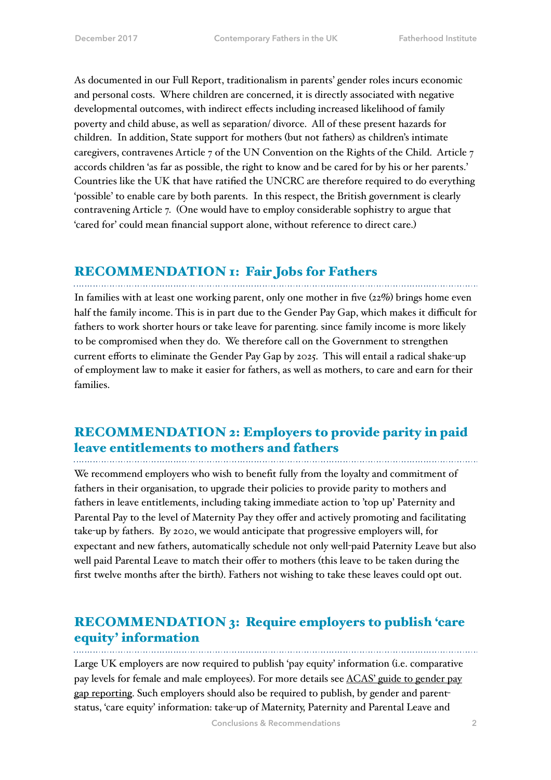As documented in our Full Report, traditionalism in parents' gender roles incurs economic and personal costs. Where children are concerned, it is directly associated with negative developmental outcomes, with indirect effects including increased likelihood of family poverty and child abuse, as well as separation/ divorce. All of these present hazards for children. In addition, State support for mothers (but not fathers) as children's intimate caregivers, contravenes Article 7 of the UN Convention on the Rights of the Child. Article 7 accords children 'as far as possible, the right to know and be cared for by his or her parents.' Countries like the UK that have ratified the UNCRC are therefore required to do everything 'possible' to enable care by both parents. In this respect, the British government is clearly contravening Article 7. (One would have to employ considerable sophistry to argue that 'cared for' could mean financial support alone, without reference to direct care.)

#### RECOMMENDATION 1: Fair Jobs for Fathers

In families with at least one working parent, only one mother in five (22%) brings home even half the family income. This is in part due to the Gender Pay Gap, which makes it difficult for fathers to work shorter hours or take leave for parenting. since family income is more likely to be compromised when they do. We therefore call on the Government to strengthen current efforts to eliminate the Gender Pay Gap by 2025. This will entail a radical shake-up of employment law to make it easier for fathers, as well as mothers, to care and earn for their families.

### RECOMMENDATION 2: Employers to provide parity in paid leave entitlements to mothers and fathers

We recommend employers who wish to benefit fully from the loyalty and commitment of fathers in their organisation, to upgrade their policies to provide parity to mothers and fathers in leave entitlements, including taking immediate action to 'top up' Paternity and Parental Pay to the level of Maternity Pay they offer and actively promoting and facilitating take-up by fathers. By 2020, we would anticipate that progressive employers will, for expectant and new fathers, automatically schedule not only well-paid Paternity Leave but also well paid Parental Leave to match their offer to mothers (this leave to be taken during the first twelve months after the birth). Fathers not wishing to take these leaves could opt out.

## RECOMMENDATION 3: Require employers to publish 'care equity' information

Large UK employers are now required to publish 'pay equity' information (i.e. comparative pay levels for female and male employees). For more details see ACAS' guide to gender pay [gap reporting. Such employers should also be required to publish, by gender and parent](http://www.acas.org.uk/index.aspx?articleid=5768)status, 'care equity' information: take-up of Maternity, Paternity and Parental Leave and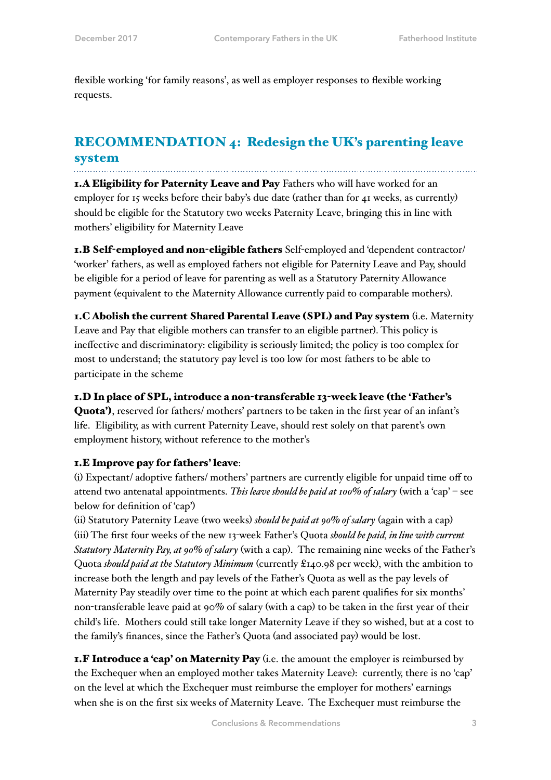flexible working 'for family reasons', as well as employer responses to flexible working requests.

#### RECOMMENDATION 4: Redesign the UK's parenting leave system

1.A Eligibility for Paternity Leave and Pay Fathers who will have worked for an employer for 15 weeks before their baby's due date (rather than for 41 weeks, as currently) should be eligible for the Statutory two weeks Paternity Leave, bringing this in line with mothers' eligibility for Maternity Leave

1.B Self-employed and non-eligible fathers Self-employed and 'dependent contractor/ 'worker' fathers, as well as employed fathers not eligible for Paternity Leave and Pay, should be eligible for a period of leave for parenting as well as a Statutory Paternity Allowance payment (equivalent to the Maternity Allowance currently paid to comparable mothers).

1.C Abolish the current Shared Parental Leave (SPL) and Pay system (i.e. Maternity Leave and Pay that eligible mothers can transfer to an eligible partner). This policy is ineffective and discriminatory: eligibility is seriously limited; the policy is too complex for most to understand; the statutory pay level is too low for most fathers to be able to participate in the scheme

#### 1.D In place of SPL, introduce a non-transferable 13-week leave (the 'Father's

Quota'), reserved for fathers/ mothers' partners to be taken in the first year of an infant's life. Eligibility, as with current Paternity Leave, should rest solely on that parent's own employment history, without reference to the mother's

#### 1.E Improve pay for fathers' leave:

(i) Expectant/ adoptive fathers/ mothers' partners are currently eligible for unpaid time off to attend two antenatal appointments. *This leave should be paid at 100% of salary* (with a 'cap' – see below for definition of 'cap')

(ii) Statutory Paternity Leave (two weeks) *should be paid at 90% of salary* (again with a cap) (iii) The first four weeks of the new 13-week Father's Quota *should be paid, in line with current Statutory Maternity Pay, at 90% of salary* (with a cap). The remaining nine weeks of the Father's Quota *should paid at the Statutory Minimum* (currently £140.98 per week), with the ambition to increase both the length and pay levels of the Father's Quota as well as the pay levels of Maternity Pay steadily over time to the point at which each parent qualifies for six months' non-transferable leave paid at  $90\%$  of salary (with a cap) to be taken in the first year of their child's life. Mothers could still take longer Maternity Leave if they so wished, but at a cost to the family's finances, since the Father's Quota (and associated pay) would be lost.

**1.F Introduce a 'cap' on Maternity Pay** (i.e. the amount the employer is reimbursed by the Exchequer when an employed mother takes Maternity Leave): currently, there is no 'cap' on the level at which the Exchequer must reimburse the employer for mothers' earnings when she is on the first six weeks of Maternity Leave. The Exchequer must reimburse the